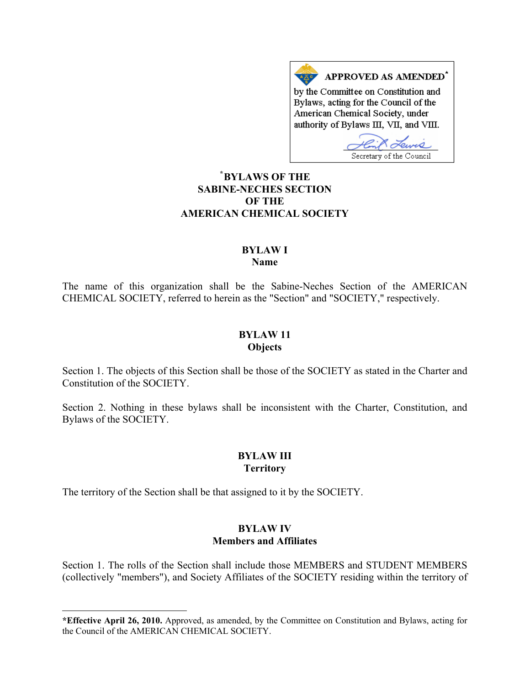APPROVED AS AMENDED<sup>\*</sup> by the Committee on Constitution and Bylaws, acting for the Council of the American Chemical Society, under authority of Bylaws III, VII, and VIII.

Lewis Secretary of the Council

## **\* [BYLAWS OF THE](#page-0-0)  SABINE-NECHES SECTION OF THE AMERICAN CHEMICAL SOCIETY**

#### **BYLAW I Name**

The name of this organization shall be the Sabine-Neches Section of the AMERICAN CHEMICAL SOCIETY, referred to herein as the "Section" and "SOCIETY," respectively.

## **BYLAW 11 Objects**

Section 1. The objects of this Section shall be those of the SOCIETY as stated in the Charter and Constitution of the SOCIETY.

Section 2. Nothing in these bylaws shall be inconsistent with the Charter, Constitution, and Bylaws of the SOCIETY.

## **BYLAW III Territory**

The territory of the Section shall be that assigned to it by the SOCIETY.

l

# **BYLAW IV Members and Affiliates**

Section 1. The rolls of the Section shall include those MEMBERS and STUDENT MEMBERS (collectively "members"), and Society Affiliates of the SOCIETY residing within the territory of

<span id="page-0-0"></span>**<sup>\*</sup>Effective April 26, 2010.** Approved, as amended, by the Committee on Constitution and Bylaws, acting for the Council of the AMERICAN CHEMICAL SOCIETY.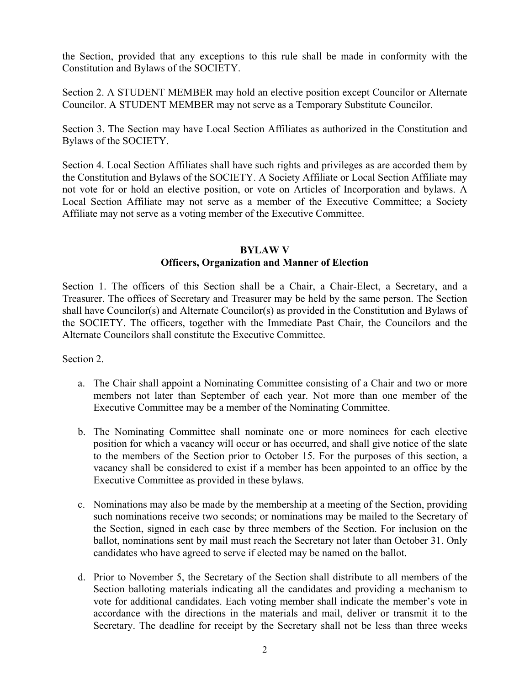the Section, provided that any exceptions to this rule shall be made in conformity with the Constitution and Bylaws of the SOCIETY.

Section 2. A STUDENT MEMBER may hold an elective position except Councilor or Alternate Councilor. A STUDENT MEMBER may not serve as a Temporary Substitute Councilor.

Section 3. The Section may have Local Section Affiliates as authorized in the Constitution and Bylaws of the SOCIETY.

Section 4. Local Section Affiliates shall have such rights and privileges as are accorded them by the Constitution and Bylaws of the SOCIETY. A Society Affiliate or Local Section Affiliate may not vote for or hold an elective position, or vote on Articles of Incorporation and bylaws. A Local Section Affiliate may not serve as a member of the Executive Committee; a Society Affiliate may not serve as a voting member of the Executive Committee.

#### **BYLAW V**

## **Officers, Organization and Manner of Election**

Section 1. The officers of this Section shall be a Chair, a Chair-Elect, a Secretary, and a Treasurer. The offices of Secretary and Treasurer may be held by the same person. The Section shall have Councilor(s) and Alternate Councilor(s) as provided in the Constitution and Bylaws of the SOCIETY. The officers, together with the Immediate Past Chair, the Councilors and the Alternate Councilors shall constitute the Executive Committee.

Section 2.

- a. The Chair shall appoint a Nominating Committee consisting of a Chair and two or more members not later than September of each year. Not more than one member of the Executive Committee may be a member of the Nominating Committee.
- b. The Nominating Committee shall nominate one or more nominees for each elective position for which a vacancy will occur or has occurred, and shall give notice of the slate to the members of the Section prior to October 15. For the purposes of this section, a vacancy shall be considered to exist if a member has been appointed to an office by the Executive Committee as provided in these bylaws.
- c. Nominations may also be made by the membership at a meeting of the Section, providing such nominations receive two seconds; or nominations may be mailed to the Secretary of the Section, signed in each case by three members of the Section. For inclusion on the ballot, nominations sent by mail must reach the Secretary not later than October 31. Only candidates who have agreed to serve if elected may be named on the ballot.
- d. Prior to November 5, the Secretary of the Section shall distribute to all members of the Section balloting materials indicating all the candidates and providing a mechanism to vote for additional candidates. Each voting member shall indicate the member's vote in accordance with the directions in the materials and mail, deliver or transmit it to the Secretary. The deadline for receipt by the Secretary shall not be less than three weeks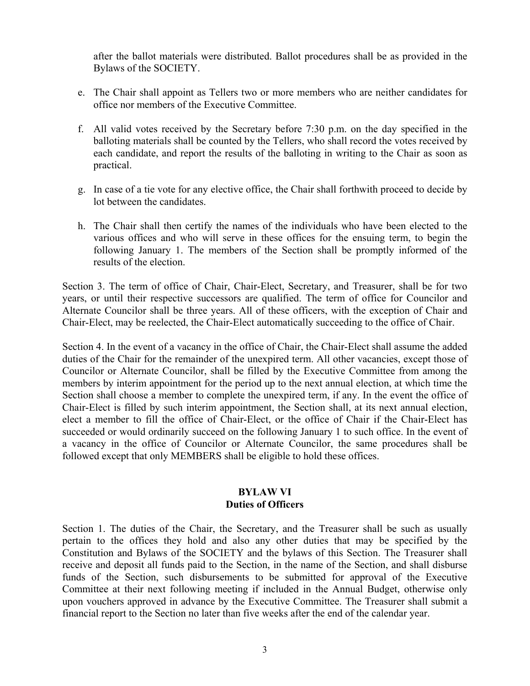after the ballot materials were distributed. Ballot procedures shall be as provided in the Bylaws of the SOCIETY.

- e. The Chair shall appoint as Tellers two or more members who are neither candidates for office nor members of the Executive Committee.
- f. All valid votes received by the Secretary before 7:30 p.m. on the day specified in the balloting materials shall be counted by the Tellers, who shall record the votes received by each candidate, and report the results of the balloting in writing to the Chair as soon as practical.
- g. In case of a tie vote for any elective office, the Chair shall forthwith proceed to decide by lot between the candidates.
- h. The Chair shall then certify the names of the individuals who have been elected to the various offices and who will serve in these offices for the ensuing term, to begin the following January 1. The members of the Section shall be promptly informed of the results of the election.

Section 3. The term of office of Chair, Chair-Elect, Secretary, and Treasurer, shall be for two years, or until their respective successors are qualified. The term of office for Councilor and Alternate Councilor shall be three years. All of these officers, with the exception of Chair and Chair-Elect, may be reelected, the Chair-Elect automatically succeeding to the office of Chair.

Section 4. In the event of a vacancy in the office of Chair, the Chair-Elect shall assume the added duties of the Chair for the remainder of the unexpired term. All other vacancies, except those of Councilor or Alternate Councilor, shall be filled by the Executive Committee from among the members by interim appointment for the period up to the next annual election, at which time the Section shall choose a member to complete the unexpired term, if any. In the event the office of Chair-Elect is filled by such interim appointment, the Section shall, at its next annual election, elect a member to fill the office of Chair-Elect, or the office of Chair if the Chair-Elect has succeeded or would ordinarily succeed on the following January 1 to such office. In the event of a vacancy in the office of Councilor or Alternate Councilor, the same procedures shall be followed except that only MEMBERS shall be eligible to hold these offices.

### **BYLAW VI Duties of Officers**

Section 1. The duties of the Chair, the Secretary, and the Treasurer shall be such as usually pertain to the offices they hold and also any other duties that may be specified by the Constitution and Bylaws of the SOCIETY and the bylaws of this Section. The Treasurer shall receive and deposit all funds paid to the Section, in the name of the Section, and shall disburse funds of the Section, such disbursements to be submitted for approval of the Executive Committee at their next following meeting if included in the Annual Budget, otherwise only upon vouchers approved in advance by the Executive Committee. The Treasurer shall submit a financial report to the Section no later than five weeks after the end of the calendar year.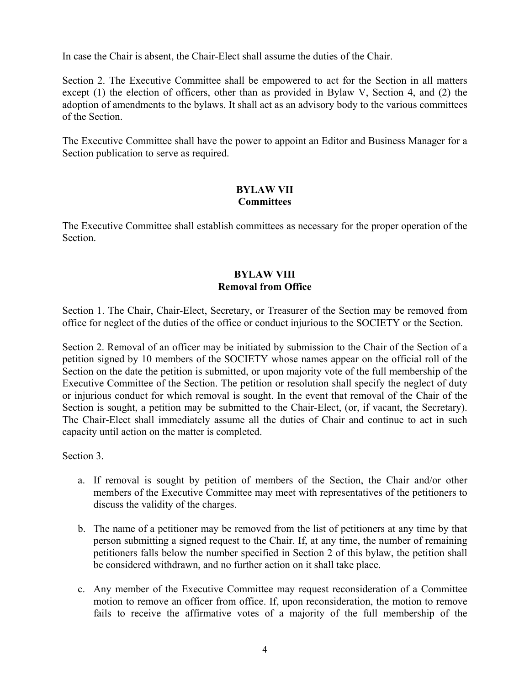In case the Chair is absent, the Chair-Elect shall assume the duties of the Chair.

Section 2. The Executive Committee shall be empowered to act for the Section in all matters except (1) the election of officers, other than as provided in Bylaw V, Section 4, and (2) the adoption of amendments to the bylaws. It shall act as an advisory body to the various committees of the Section.

The Executive Committee shall have the power to appoint an Editor and Business Manager for a Section publication to serve as required.

# **BYLAW VII Committees**

The Executive Committee shall establish committees as necessary for the proper operation of the Section.

## **BYLAW VIII Removal from Office**

Section 1. The Chair, Chair-Elect, Secretary, or Treasurer of the Section may be removed from office for neglect of the duties of the office or conduct injurious to the SOCIETY or the Section.

Section 2. Removal of an officer may be initiated by submission to the Chair of the Section of a petition signed by 10 members of the SOCIETY whose names appear on the official roll of the Section on the date the petition is submitted, or upon majority vote of the full membership of the Executive Committee of the Section. The petition or resolution shall specify the neglect of duty or injurious conduct for which removal is sought. In the event that removal of the Chair of the Section is sought, a petition may be submitted to the Chair-Elect, (or, if vacant, the Secretary). The Chair-Elect shall immediately assume all the duties of Chair and continue to act in such capacity until action on the matter is completed.

Section 3.

- a. If removal is sought by petition of members of the Section, the Chair and/or other members of the Executive Committee may meet with representatives of the petitioners to discuss the validity of the charges.
- b. The name of a petitioner may be removed from the list of petitioners at any time by that person submitting a signed request to the Chair. If, at any time, the number of remaining petitioners falls below the number specified in Section 2 of this bylaw, the petition shall be considered withdrawn, and no further action on it shall take place.
- c. Any member of the Executive Committee may request reconsideration of a Committee motion to remove an officer from office. If, upon reconsideration, the motion to remove fails to receive the affirmative votes of a majority of the full membership of the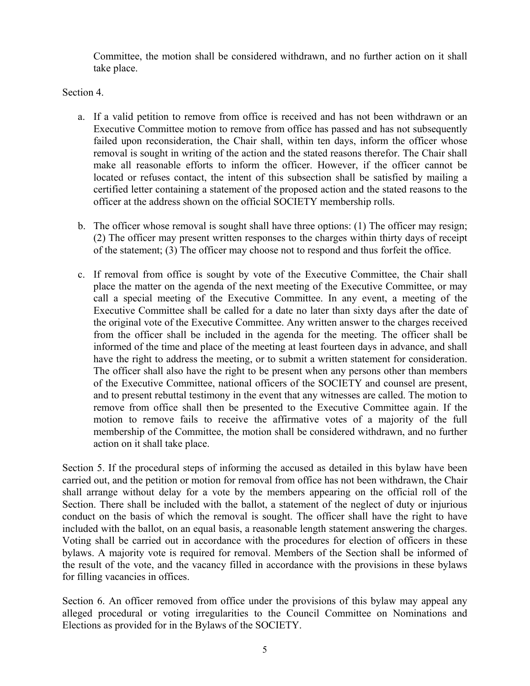Committee, the motion shall be considered withdrawn, and no further action on it shall take place.

Section 4.

- a. If a valid petition to remove from office is received and has not been withdrawn or an Executive Committee motion to remove from office has passed and has not subsequently failed upon reconsideration, the Chair shall, within ten days, inform the officer whose removal is sought in writing of the action and the stated reasons therefor. The Chair shall make all reasonable efforts to inform the officer. However, if the officer cannot be located or refuses contact, the intent of this subsection shall be satisfied by mailing a certified letter containing a statement of the proposed action and the stated reasons to the officer at the address shown on the official SOCIETY membership rolls.
- b. The officer whose removal is sought shall have three options: (1) The officer may resign; (2) The officer may present written responses to the charges within thirty days of receipt of the statement; (3) The officer may choose not to respond and thus forfeit the office.
- c. If removal from office is sought by vote of the Executive Committee, the Chair shall place the matter on the agenda of the next meeting of the Executive Committee, or may call a special meeting of the Executive Committee. In any event, a meeting of the Executive Committee shall be called for a date no later than sixty days after the date of the original vote of the Executive Committee. Any written answer to the charges received from the officer shall be included in the agenda for the meeting. The officer shall be informed of the time and place of the meeting at least fourteen days in advance, and shall have the right to address the meeting, or to submit a written statement for consideration. The officer shall also have the right to be present when any persons other than members of the Executive Committee, national officers of the SOCIETY and counsel are present, and to present rebuttal testimony in the event that any witnesses are called. The motion to remove from office shall then be presented to the Executive Committee again. If the motion to remove fails to receive the affirmative votes of a majority of the full membership of the Committee, the motion shall be considered withdrawn, and no further action on it shall take place.

Section 5. If the procedural steps of informing the accused as detailed in this bylaw have been carried out, and the petition or motion for removal from office has not been withdrawn, the Chair shall arrange without delay for a vote by the members appearing on the official roll of the Section. There shall be included with the ballot, a statement of the neglect of duty or injurious conduct on the basis of which the removal is sought. The officer shall have the right to have included with the ballot, on an equal basis, a reasonable length statement answering the charges. Voting shall be carried out in accordance with the procedures for election of officers in these bylaws. A majority vote is required for removal. Members of the Section shall be informed of the result of the vote, and the vacancy filled in accordance with the provisions in these bylaws for filling vacancies in offices.

Section 6. An officer removed from office under the provisions of this bylaw may appeal any alleged procedural or voting irregularities to the Council Committee on Nominations and Elections as provided for in the Bylaws of the SOCIETY.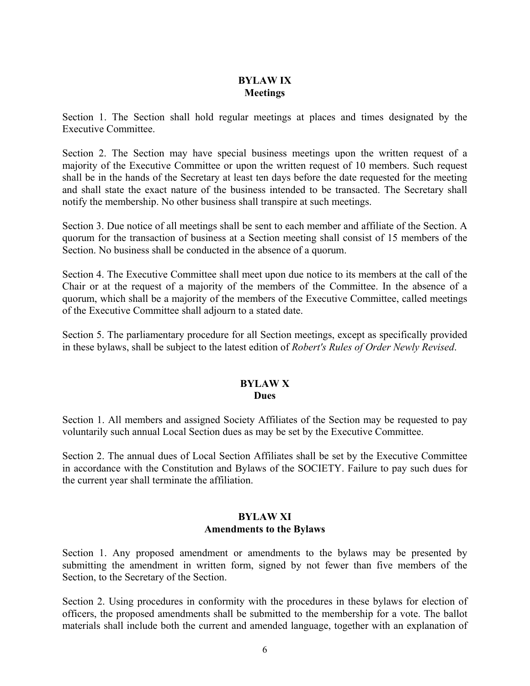## **BYLAW IX Meetings**

Section 1. The Section shall hold regular meetings at places and times designated by the Executive Committee.

Section 2. The Section may have special business meetings upon the written request of a majority of the Executive Committee or upon the written request of 10 members. Such request shall be in the hands of the Secretary at least ten days before the date requested for the meeting and shall state the exact nature of the business intended to be transacted. The Secretary shall notify the membership. No other business shall transpire at such meetings.

Section 3. Due notice of all meetings shall be sent to each member and affiliate of the Section. A quorum for the transaction of business at a Section meeting shall consist of 15 members of the Section. No business shall be conducted in the absence of a quorum.

Section 4. The Executive Committee shall meet upon due notice to its members at the call of the Chair or at the request of a majority of the members of the Committee. In the absence of a quorum, which shall be a majority of the members of the Executive Committee, called meetings of the Executive Committee shall adjourn to a stated date.

Section 5. The parliamentary procedure for all Section meetings, except as specifically provided in these bylaws, shall be subject to the latest edition of *Robert's Rules of Order Newly Revised*.

### **BYLAW X Dues**

Section 1. All members and assigned Society Affiliates of the Section may be requested to pay voluntarily such annual Local Section dues as may be set by the Executive Committee.

Section 2. The annual dues of Local Section Affiliates shall be set by the Executive Committee in accordance with the Constitution and Bylaws of the SOCIETY. Failure to pay such dues for the current year shall terminate the affiliation.

## **BYLAW XI Amendments to the Bylaws**

Section 1. Any proposed amendment or amendments to the bylaws may be presented by submitting the amendment in written form, signed by not fewer than five members of the Section, to the Secretary of the Section.

Section 2. Using procedures in conformity with the procedures in these bylaws for election of officers, the proposed amendments shall be submitted to the membership for a vote. The ballot materials shall include both the current and amended language, together with an explanation of